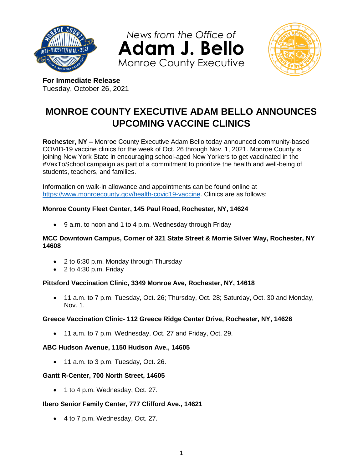

*News from the Office of* **Adam J. Bello** Monroe County Executive



**For Immediate Release** Tuesday, October 26, 2021

# **MONROE COUNTY EXECUTIVE ADAM BELLO ANNOUNCES UPCOMING VACCINE CLINICS**

**Rochester, NY –** Monroe County Executive Adam Bello today announced community-based COVID-19 vaccine clinics for the week of Oct. 26 through Nov. 1, 2021. Monroe County is joining New York State in encouraging school-aged New Yorkers to get vaccinated in the #VaxToSchool campaign as part of a commitment to prioritize the health and well-being of students, teachers, and families.

Information on walk-in allowance and appointments can be found online at [https://www.monroecounty.gov/health-covid19-vaccine.](https://www.monroecounty.gov/health-covid19-vaccine) Clinics are as follows:

# **Monroe County Fleet Center, 145 Paul Road, Rochester, NY, 14624**

9 a.m. to noon and 1 to 4 p.m. Wednesday through Friday

#### **MCC Downtown Campus, Corner of 321 State Street & Morrie Silver Way, Rochester, NY 14608**

- 2 to 6:30 p.m. Monday through Thursday
- $\bullet$  2 to 4:30 p.m. Friday

## **Pittsford Vaccination Clinic, 3349 Monroe Ave, Rochester, NY, 14618**

 11 a.m. to 7 p.m. Tuesday, Oct. 26; Thursday, Oct. 28; Saturday, Oct. 30 and Monday, Nov. 1.

## **Greece Vaccination Clinic- 112 Greece Ridge Center Drive, Rochester, NY, 14626**

11 a.m. to 7 p.m. Wednesday, Oct. 27 and Friday, Oct. 29.

## **ABC Hudson Avenue, 1150 Hudson Ave., 14605**

• 11 a.m. to 3 p.m. Tuesday, Oct. 26.

## **Gantt R-Center, 700 North Street, 14605**

• 1 to 4 p.m. Wednesday, Oct. 27.

# **Ibero Senior Family Center, 777 Clifford Ave., 14621**

4 to 7 p.m. Wednesday, Oct. 27.